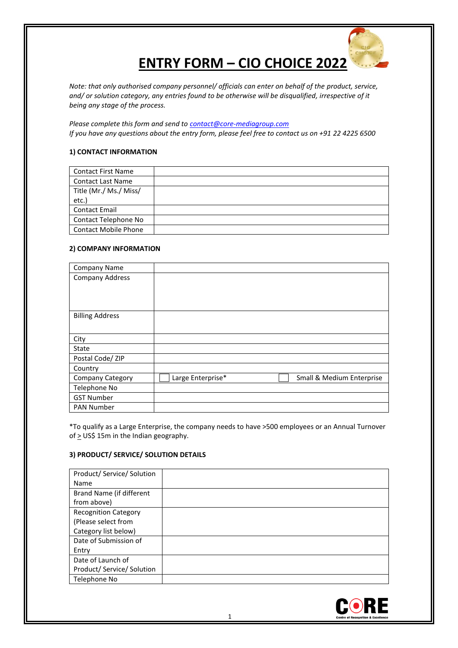

*Note: that only authorised company personnel/ officials can enter on behalf of the product, service, and/ or solution category, any entries found to be otherwise will be disqualified, irrespective of it being any stage of the process.*

*Please complete this form and send t[o contact@core-mediagroup.com](mailto:contact@core-mediagroup.com) If you have any questions about the entry form, please feel free to contact us on +91 22 4225 6500*

#### **1) CONTACT INFORMATION**

| <b>Contact First Name</b>   |  |
|-----------------------------|--|
| <b>Contact Last Name</b>    |  |
| Title (Mr./ Ms./ Miss/      |  |
| etc.)                       |  |
| <b>Contact Email</b>        |  |
| Contact Telephone No        |  |
| <b>Contact Mobile Phone</b> |  |

#### **2) COMPANY INFORMATION**

| <b>Company Name</b>    |                   |                           |
|------------------------|-------------------|---------------------------|
| <b>Company Address</b> |                   |                           |
|                        |                   |                           |
|                        |                   |                           |
|                        |                   |                           |
| <b>Billing Address</b> |                   |                           |
|                        |                   |                           |
| City                   |                   |                           |
| State                  |                   |                           |
| Postal Code/ ZIP       |                   |                           |
| Country                |                   |                           |
| Company Category       | Large Enterprise* | Small & Medium Enterprise |
| Telephone No           |                   |                           |
| <b>GST Number</b>      |                   |                           |
| <b>PAN Number</b>      |                   |                           |

\*To qualify as a Large Enterprise, the company needs to have >500 employees or an Annual Turnover of  $\geq$  US\$ 15m in the Indian geography.

#### **3) PRODUCT/ SERVICE/ SOLUTION DETAILS**

| Product/ Service/ Solution  |  |
|-----------------------------|--|
| Name                        |  |
| Brand Name (if different    |  |
| from above)                 |  |
| <b>Recognition Category</b> |  |
| (Please select from         |  |
| Category list below)        |  |
| Date of Submission of       |  |
| Entry                       |  |
| Date of Launch of           |  |
| Product/ Service/ Solution  |  |
| Telephone No                |  |

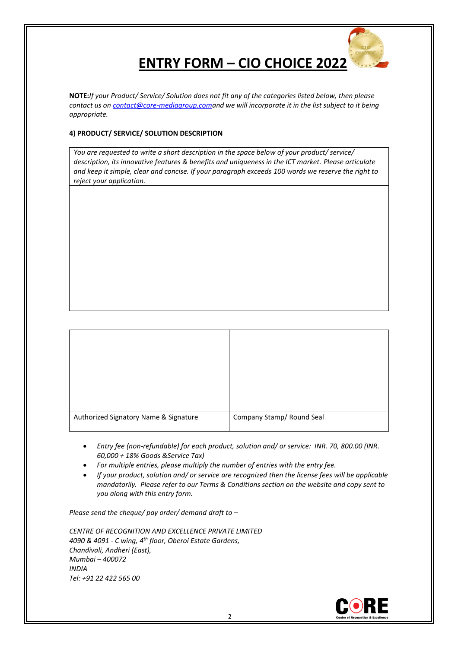

**NOTE:***If your Product/ Service/ Solution does not fit any of the categories listed below, then please contact us o[n contact@core-mediagroup.coma](mailto:contact@core-mediagroup.com)nd we will incorporate it in the list subject to it being appropriate.*

#### **4) PRODUCT/ SERVICE/ SOLUTION DESCRIPTION**

*You are requested to write a short description in the space below of your product/ service/ description, its innovative features & benefits and uniqueness in the ICT market. Please articulate and keep it simple, clear and concise. If your paragraph exceeds 100 words we reserve the right to reject your application.*

- *Entry fee (non-refundable) for each product, solution and/ or service: INR. 70, 800.00 (INR. 60,000 + 18% Goods &Service Tax)*
- *For multiple entries, please multiply the number of entries with the entry fee.*
- *If your product, solution and/ or service are recognized then the license fees will be applicable mandatorily. Please refer to our Terms & Conditions section on the website and copy sent to you along with this entry form.*

*Please send the cheque/ pay order/ demand draft to –*

*CENTRE OF RECOGNITION AND EXCELLENCE PRIVATE LIMITED 4090 & 4091 - C wing, 4 th floor, Oberoi Estate Gardens, Chandivali, Andheri (East), Mumbai – 400072 INDIA Tel: +91 22 422 565 00*

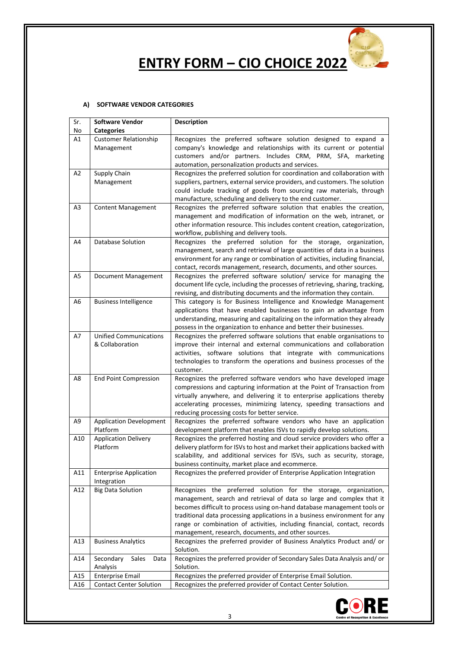

#### **A) SOFTWARE VENDOR CATEGORIES**

| Sr.<br>No | <b>Software Vendor</b><br><b>Categories</b>      | <b>Description</b>                                                                                                                                                                                                                                                                                                                                                                                                                     |
|-----------|--------------------------------------------------|----------------------------------------------------------------------------------------------------------------------------------------------------------------------------------------------------------------------------------------------------------------------------------------------------------------------------------------------------------------------------------------------------------------------------------------|
| A1        | <b>Customer Relationship</b><br>Management       | Recognizes the preferred software solution designed to expand a<br>company's knowledge and relationships with its current or potential<br>customers and/or partners. Includes CRM, PRM, SFA, marketing<br>automation, personalization products and services.                                                                                                                                                                           |
| A2        | Supply Chain<br>Management                       | Recognizes the preferred solution for coordination and collaboration with<br>suppliers, partners, external service providers, and customers. The solution<br>could include tracking of goods from sourcing raw materials, through<br>manufacture, scheduling and delivery to the end customer.                                                                                                                                         |
| A3        | <b>Content Management</b>                        | Recognizes the preferred software solution that enables the creation,<br>management and modification of information on the web, intranet, or<br>other information resource. This includes content creation, categorization,<br>workflow, publishing and delivery tools.                                                                                                                                                                |
| A4        | Database Solution                                | Recognizes the preferred solution for the storage, organization,<br>management, search and retrieval of large quantities of data in a business<br>environment for any range or combination of activities, including financial,<br>contact, records management, research, documents, and other sources.                                                                                                                                 |
| A5        | Document Management                              | Recognizes the preferred software solution/ service for managing the<br>document life cycle, including the processes of retrieving, sharing, tracking,<br>revising, and distributing documents and the information they contain.                                                                                                                                                                                                       |
| A6        | <b>Business Intelligence</b>                     | This category is for Business Intelligence and Knowledge Management<br>applications that have enabled businesses to gain an advantage from<br>understanding, measuring and capitalizing on the information they already<br>possess in the organization to enhance and better their businesses.                                                                                                                                         |
| А7        | <b>Unified Communications</b><br>& Collaboration | Recognizes the preferred software solutions that enable organisations to<br>improve their internal and external communications and collaboration<br>activities, software solutions that integrate with communications<br>technologies to transform the operations and business processes of the<br>customer.                                                                                                                           |
| A8        | <b>End Point Compression</b>                     | Recognizes the preferred software vendors who have developed image<br>compressions and capturing information at the Point of Transaction from<br>virtually anywhere, and delivering it to enterprise applications thereby<br>accelerating processes, minimizing latency, speeding transactions and<br>reducing processing costs for better service.                                                                                    |
| A9        | <b>Application Development</b><br>Platform       | Recognizes the preferred software vendors who have an application<br>development platform that enables ISVs to rapidly develop solutions.                                                                                                                                                                                                                                                                                              |
| A10       | <b>Application Delivery</b><br>Platform          | Recognizes the preferred hosting and cloud service providers who offer a<br>delivery platform for ISVs to host and market their applications backed with<br>scalability, and additional services for ISVs, such as security, storage,<br>business continuity, market place and ecommerce.                                                                                                                                              |
| A11       | <b>Enterprise Application</b><br>Integration     | Recognizes the preferred provider of Enterprise Application Integration                                                                                                                                                                                                                                                                                                                                                                |
| A12       | <b>Big Data Solution</b>                         | Recognizes the preferred solution for the storage, organization,<br>management, search and retrieval of data so large and complex that it<br>becomes difficult to process using on-hand database management tools or<br>traditional data processing applications in a business environment for any<br>range or combination of activities, including financial, contact, records<br>management, research, documents, and other sources. |
| A13       | <b>Business Analytics</b>                        | Recognizes the preferred provider of Business Analytics Product and/ or<br>Solution.                                                                                                                                                                                                                                                                                                                                                   |
| A14       | Secondary<br>Sales<br>Data<br>Analysis           | Recognizes the preferred provider of Secondary Sales Data Analysis and/ or<br>Solution.                                                                                                                                                                                                                                                                                                                                                |
| A15       | <b>Enterprise Email</b>                          | Recognizes the preferred provider of Enterprise Email Solution.                                                                                                                                                                                                                                                                                                                                                                        |
| A16       | <b>Contact Center Solution</b>                   | Recognizes the preferred provider of Contact Center Solution.                                                                                                                                                                                                                                                                                                                                                                          |

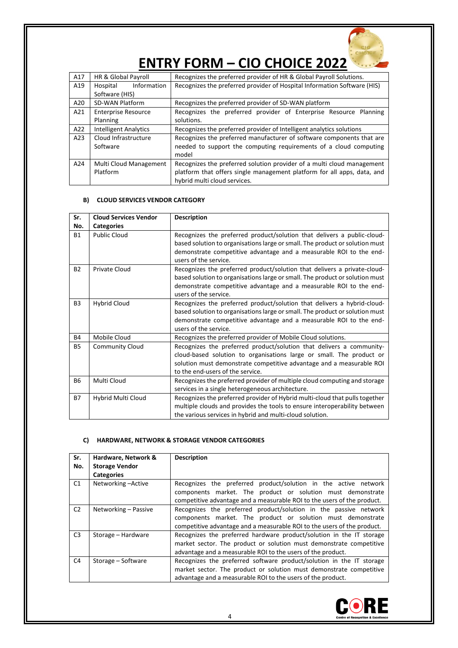

| A17 | HR & Global Payroll          | Recognizes the preferred provider of HR & Global Payroll Solutions.      |
|-----|------------------------------|--------------------------------------------------------------------------|
| A19 | Information<br>Hospital      | Recognizes the preferred provider of Hospital Information Software (HIS) |
|     | Software (HIS)               |                                                                          |
| A20 | <b>SD-WAN Platform</b>       | Recognizes the preferred provider of SD-WAN platform                     |
| A21 | <b>Enterprise Resource</b>   | Recognizes the preferred provider of Enterprise Resource Planning        |
|     | Planning                     | solutions.                                                               |
| A22 | <b>Intelligent Analytics</b> | Recognizes the preferred provider of Intelligent analytics solutions     |
| A23 | Cloud Infrastructure         | Recognizes the preferred manufacturer of software components that are    |
|     | Software                     | needed to support the computing requirements of a cloud computing        |
|     |                              | model                                                                    |
| A24 | Multi Cloud Management       | Recognizes the preferred solution provider of a multi cloud management   |
|     | Platform                     | platform that offers single management platform for all apps, data, and  |
|     |                              | hybrid multi cloud services.                                             |

#### **B) CLOUD SERVICES VENDOR CATEGORY**

| Sr.       | <b>Cloud Services Vendor</b> | <b>Description</b>                                                                                                                                                                                                                                       |
|-----------|------------------------------|----------------------------------------------------------------------------------------------------------------------------------------------------------------------------------------------------------------------------------------------------------|
| No.       | <b>Categories</b>            |                                                                                                                                                                                                                                                          |
| <b>B1</b> | <b>Public Cloud</b>          | Recognizes the preferred product/solution that delivers a public-cloud-<br>based solution to organisations large or small. The product or solution must                                                                                                  |
|           |                              | demonstrate competitive advantage and a measurable ROI to the end-<br>users of the service.                                                                                                                                                              |
| <b>B2</b> | <b>Private Cloud</b>         | Recognizes the preferred product/solution that delivers a private-cloud-<br>based solution to organisations large or small. The product or solution must<br>demonstrate competitive advantage and a measurable ROI to the end-<br>users of the service.  |
| <b>B3</b> | <b>Hybrid Cloud</b>          | Recognizes the preferred product/solution that delivers a hybrid-cloud-<br>based solution to organisations large or small. The product or solution must<br>demonstrate competitive advantage and a measurable ROI to the end-<br>users of the service.   |
| <b>B4</b> | Mobile Cloud                 | Recognizes the preferred provider of Mobile Cloud solutions.                                                                                                                                                                                             |
| <b>B5</b> | <b>Community Cloud</b>       | Recognizes the preferred product/solution that delivers a community-<br>cloud-based solution to organisations large or small. The product or<br>solution must demonstrate competitive advantage and a measurable ROI<br>to the end-users of the service. |
| <b>B6</b> | Multi Cloud                  | Recognizes the preferred provider of multiple cloud computing and storage<br>services in a single heterogeneous architecture.                                                                                                                            |
| <b>B7</b> | Hybrid Multi Cloud           | Recognizes the preferred provider of Hybrid multi-cloud that pulls together<br>multiple clouds and provides the tools to ensure interoperability between<br>the various services in hybrid and multi-cloud solution.                                     |

#### **C) HARDWARE, NETWORK & STORAGE VENDOR CATEGORIES**

| Sr.<br>No.     | Hardware, Network &<br><b>Storage Vendor</b><br><b>Categories</b> | <b>Description</b>                                                                                                                                                                                         |
|----------------|-------------------------------------------------------------------|------------------------------------------------------------------------------------------------------------------------------------------------------------------------------------------------------------|
| C1             | Networking-Active                                                 | Recognizes the preferred product/solution in the active network<br>components market. The product or solution must demonstrate<br>competitive advantage and a measurable ROI to the users of the product.  |
| C <sub>2</sub> | Networking - Passive                                              | Recognizes the preferred product/solution in the passive network<br>components market. The product or solution must demonstrate<br>competitive advantage and a measurable ROI to the users of the product. |
| C <sub>3</sub> | Storage - Hardware                                                | Recognizes the preferred hardware product/solution in the IT storage<br>market sector. The product or solution must demonstrate competitive<br>advantage and a measurable ROI to the users of the product. |
| C4             | Storage – Software                                                | Recognizes the preferred software product/solution in the IT storage<br>market sector. The product or solution must demonstrate competitive<br>advantage and a measurable ROI to the users of the product. |

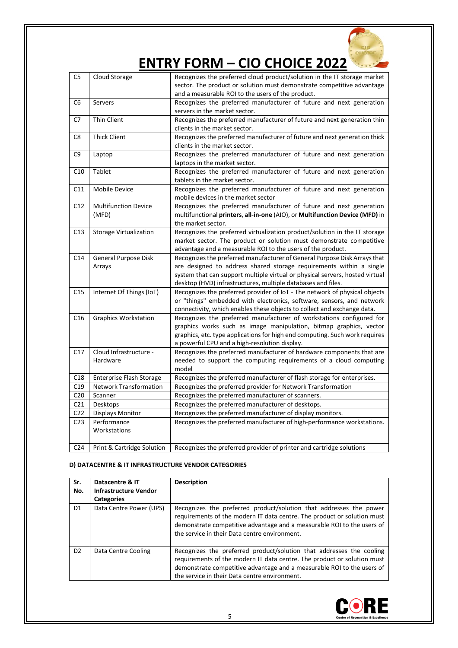

| C <sub>5</sub>  | Cloud Storage                        | Recognizes the preferred cloud product/solution in the IT storage market<br>sector. The product or solution must demonstrate competitive advantage                                                                                                                                               |
|-----------------|--------------------------------------|--------------------------------------------------------------------------------------------------------------------------------------------------------------------------------------------------------------------------------------------------------------------------------------------------|
|                 |                                      | and a measurable ROI to the users of the product.                                                                                                                                                                                                                                                |
| C6              | Servers                              | Recognizes the preferred manufacturer of future and next generation                                                                                                                                                                                                                              |
|                 |                                      | servers in the market sector.                                                                                                                                                                                                                                                                    |
| C7              | <b>Thin Client</b>                   | Recognizes the preferred manufacturer of future and next generation thin<br>clients in the market sector.                                                                                                                                                                                        |
| C8              | <b>Thick Client</b>                  | Recognizes the preferred manufacturer of future and next generation thick<br>clients in the market sector.                                                                                                                                                                                       |
| C <sub>9</sub>  | Laptop                               | Recognizes the preferred manufacturer of future and next generation<br>laptops in the market sector.                                                                                                                                                                                             |
| C10             | Tablet                               | Recognizes the preferred manufacturer of future and next generation<br>tablets in the market sector.                                                                                                                                                                                             |
| C11             | <b>Mobile Device</b>                 | Recognizes the preferred manufacturer of future and next generation<br>mobile devices in the market sector                                                                                                                                                                                       |
| C12             | <b>Multifunction Device</b><br>(MFD) | Recognizes the preferred manufacturer of future and next generation<br>multifunctional printers, all-in-one (AIO), or Multifunction Device (MFD) in                                                                                                                                              |
|                 |                                      | the market sector.                                                                                                                                                                                                                                                                               |
| C13             | <b>Storage Virtualization</b>        | Recognizes the preferred virtualization product/solution in the IT storage<br>market sector. The product or solution must demonstrate competitive<br>advantage and a measurable ROI to the users of the product.                                                                                 |
| C14             | General Purpose Disk<br>Arrays       | Recognizes the preferred manufacturer of General Purpose Disk Arrays that<br>are designed to address shared storage requirements within a single<br>system that can support multiple virtual or physical servers, hosted virtual<br>desktop (HVD) infrastructures, multiple databases and files. |
| C15             | Internet Of Things (IoT)             | Recognizes the preferred provider of IoT - The network of physical objects<br>or "things" embedded with electronics, software, sensors, and network<br>connectivity, which enables these objects to collect and exchange data.                                                                   |
| C16             | <b>Graphics Workstation</b>          | Recognizes the preferred manufacturer of workstations configured for<br>graphics works such as image manipulation, bitmap graphics, vector<br>graphics, etc. type applications for high end computing. Such work requires<br>a powerful CPU and a high-resolution display.                       |
| C17             | Cloud Infrastructure -<br>Hardware   | Recognizes the preferred manufacturer of hardware components that are<br>needed to support the computing requirements of a cloud computing<br>model                                                                                                                                              |
| C18             | Enterprise Flash Storage             | Recognizes the preferred manufacturer of flash storage for enterprises.                                                                                                                                                                                                                          |
| C19             | Network Transformation               | Recognizes the preferred provider for Network Transformation                                                                                                                                                                                                                                     |
| C <sub>20</sub> | Scanner                              | Recognizes the preferred manufacturer of scanners.                                                                                                                                                                                                                                               |
| C <sub>21</sub> | Desktops                             | Recognizes the preferred manufacturer of desktops.                                                                                                                                                                                                                                               |
| C <sub>22</sub> | Displays Monitor                     | Recognizes the preferred manufacturer of display monitors.                                                                                                                                                                                                                                       |
| C23             | Performance<br>Workstations          | Recognizes the preferred manufacturer of high-performance workstations.                                                                                                                                                                                                                          |
| C24             | Print & Cartridge Solution           | Recognizes the preferred provider of printer and cartridge solutions                                                                                                                                                                                                                             |

#### **D) DATACENTRE & IT INFRASTRUCTURE VENDOR CATEGORIES**

| Sr.<br>No.     | Datacentre & IT<br><b>Infrastructure Vendor</b><br><b>Categories</b> | <b>Description</b>                                                                                                                                                                                                                                                         |
|----------------|----------------------------------------------------------------------|----------------------------------------------------------------------------------------------------------------------------------------------------------------------------------------------------------------------------------------------------------------------------|
| D1             | Data Centre Power (UPS)                                              | Recognizes the preferred product/solution that addresses the power<br>requirements of the modern IT data centre. The product or solution must<br>demonstrate competitive advantage and a measurable ROI to the users of<br>the service in their Data centre environment.   |
| D <sub>2</sub> | Data Centre Cooling                                                  | Recognizes the preferred product/solution that addresses the cooling<br>requirements of the modern IT data centre. The product or solution must<br>demonstrate competitive advantage and a measurable ROI to the users of<br>the service in their Data centre environment. |

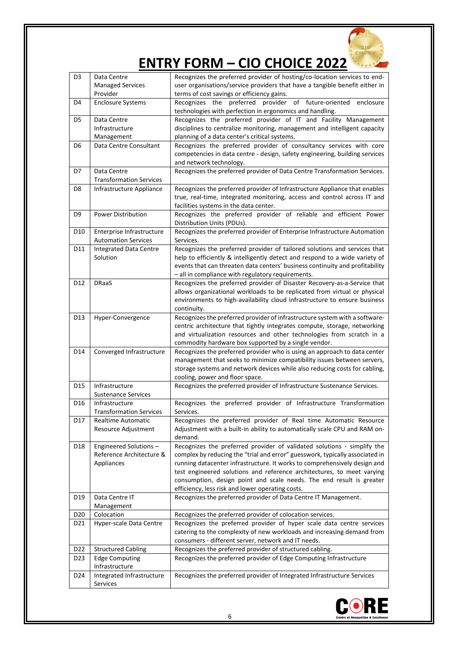

| D <sub>3</sub>  | Data Centre<br><b>Managed Services</b><br>Provider               | Recognizes the preferred provider of hosting/co-location services to end-<br>user organisations/service providers that have a tangible benefit either in<br>terms of cost savings or efficiency gains.                                                                                                                                                                                                                                     |
|-----------------|------------------------------------------------------------------|--------------------------------------------------------------------------------------------------------------------------------------------------------------------------------------------------------------------------------------------------------------------------------------------------------------------------------------------------------------------------------------------------------------------------------------------|
| D4              | <b>Enclosure Systems</b>                                         | Recognizes the preferred provider of future-oriented<br>enclosure<br>technologies with perfection in ergonomics and handling.                                                                                                                                                                                                                                                                                                              |
| D5              | Data Centre<br>Infrastructure<br>Management                      | Recognizes the preferred provider of IT and Facility Management<br>disciplines to centralize monitoring, management and intelligent capacity<br>planning of a data center's critical systems.                                                                                                                                                                                                                                              |
| D6              | Data Centre Consultant                                           | Recognizes the preferred provider of consultancy services with core<br>competencies in data centre - design, safety engineering, building services<br>and network technology.                                                                                                                                                                                                                                                              |
| D7              | Data Centre<br><b>Transformation Services</b>                    | Recognizes the preferred provider of Data Centre Transformation Services.                                                                                                                                                                                                                                                                                                                                                                  |
| D8              | Infrastructure Appliance                                         | Recognizes the preferred provider of Infrastructure Appliance that enables<br>true, real-time, integrated monitoring, access and control across IT and<br>facilities systems in the data center.                                                                                                                                                                                                                                           |
| D9              | Power Distribution                                               | Recognizes the preferred provider of reliable and efficient Power<br>Distribution Units (PDUs).                                                                                                                                                                                                                                                                                                                                            |
| D <sub>10</sub> | Enterprise Infrastructure<br><b>Automation Services</b>          | Recognizes the preferred provider of Enterprise Infrastructure Automation<br>Services.                                                                                                                                                                                                                                                                                                                                                     |
| D11             | <b>Integrated Data Centre</b><br>Solution                        | Recognizes the preferred provider of tailored solutions and services that<br>help to efficiently & intelligently detect and respond to a wide variety of<br>events that can threaten data centers' business continuity and profitability<br>- all in compliance with regulatory requirements.                                                                                                                                              |
| D <sub>12</sub> | <b>DRaaS</b>                                                     | Recognizes the preferred provider of Disaster Recovery-as-a-Service that<br>allows organizational workloads to be replicated from virtual or physical<br>environments to high-availability cloud infrastructure to ensure business<br>continuity.                                                                                                                                                                                          |
| D13             | Hyper-Convergence                                                | Recognizes the preferred provider of infrastructure system with a software-<br>centric architecture that tightly integrates compute, storage, networking<br>and virtualization resources and other technologies from scratch in a<br>commodity hardware box supported by a single vendor.                                                                                                                                                  |
| D14             | Converged Infrastructure                                         | Recognizes the preferred provider who is using an approach to data center<br>management that seeks to minimize compatibility issues between servers,<br>storage systems and network devices while also reducing costs for cabling,<br>cooling, power and floor space.                                                                                                                                                                      |
| D15             | Infrastructure<br><b>Sustenance Services</b>                     | Recognizes the preferred provider of Infrastructure Sustenance Services.                                                                                                                                                                                                                                                                                                                                                                   |
| D16             | Infrastructure<br><b>Transformation Services</b>                 | Recognizes the preferred provider of Infrastructure Transformation<br>Services.                                                                                                                                                                                                                                                                                                                                                            |
| D17             | Realtime Automatic<br>Resource Adjustment                        | Recognizes the preferred provider of Real time Automatic Resource<br>Adjustment with a built-in ability to automatically scale CPU and RAM on-<br>demand.                                                                                                                                                                                                                                                                                  |
| D18             | Engineered Solutions -<br>Reference Architecture &<br>Appliances | Recognizes the preferred provider of validated solutions - simplify the<br>complex by reducing the "trial and error" guesswork, typically associated in<br>running datacenter infrastructure. It works to comprehensively design and<br>test engineered solutions and reference architectures, to meet varying<br>consumption, design point and scale needs. The end result is greater<br>efficiency, less risk and lower operating costs. |
| D19             | Data Centre IT<br>Management                                     | Recognizes the preferred provider of Data Centre IT Management.                                                                                                                                                                                                                                                                                                                                                                            |
| D <sub>20</sub> | Colocation                                                       | Recognizes the preferred provider of colocation services.                                                                                                                                                                                                                                                                                                                                                                                  |
| D21             | Hyper-scale Data Centre                                          | Recognizes the preferred provider of hyper scale data centre services<br>catering to the complexity of new workloads and increasing demand from<br>consumers - different server, network and IT needs.                                                                                                                                                                                                                                     |
| D <sub>22</sub> | <b>Structured Cabling</b>                                        | Recognizes the preferred provider of structured cabling.                                                                                                                                                                                                                                                                                                                                                                                   |
| D <sub>23</sub> | <b>Edge Computing</b><br>Infrastructure                          | Recognizes the preferred provider of Edge Computing Infrastructure                                                                                                                                                                                                                                                                                                                                                                         |
| D <sub>24</sub> | Integrated Infrastructure<br>Services                            | Recognizes the preferred provider of Integrated Infrastructure Services                                                                                                                                                                                                                                                                                                                                                                    |

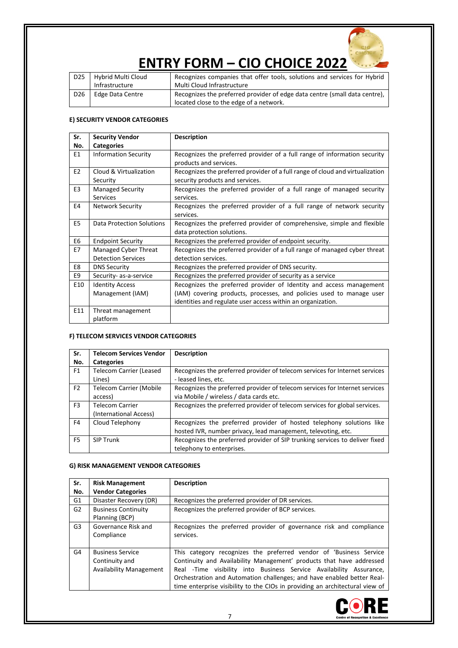

| D <sub>25</sub> | Hybrid Multi Cloud | Recognizes companies that offer tools, solutions and services for Hybrid   |
|-----------------|--------------------|----------------------------------------------------------------------------|
|                 | Infrastructure     | Multi Cloud Infrastructure                                                 |
| D <sub>26</sub> | Edge Data Centre   | Recognizes the preferred provider of edge data centre (small data centre), |
|                 |                    | located close to the edge of a network.                                    |

#### **E) SECURITY VENDOR CATEGORIES**

| Sr.            | <b>Security Vendor</b>      | <b>Description</b>                                                            |
|----------------|-----------------------------|-------------------------------------------------------------------------------|
| No.            | <b>Categories</b>           |                                                                               |
| E1             | <b>Information Security</b> | Recognizes the preferred provider of a full range of information security     |
|                |                             | products and services.                                                        |
| E <sub>2</sub> | Cloud & Virtualization      | Recognizes the preferred provider of a full range of cloud and virtualization |
|                | Security                    | security products and services.                                               |
| E <sub>3</sub> | <b>Managed Security</b>     | Recognizes the preferred provider of a full range of managed security         |
|                | <b>Services</b>             | services.                                                                     |
| E4             | <b>Network Security</b>     | Recognizes the preferred provider of a full range of network security         |
|                |                             | services.                                                                     |
| E <sub>5</sub> | Data Protection Solutions   | Recognizes the preferred provider of comprehensive, simple and flexible       |
|                |                             | data protection solutions.                                                    |
| E6             | <b>Endpoint Security</b>    | Recognizes the preferred provider of endpoint security.                       |
| E7             | Managed Cyber Threat        | Recognizes the preferred provider of a full range of managed cyber threat     |
|                | <b>Detection Services</b>   | detection services.                                                           |
| E8             | <b>DNS Security</b>         | Recognizes the preferred provider of DNS security.                            |
| E9             | Security- as-a-service      | Recognizes the preferred provider of security as a service                    |
| E10            | <b>Identity Access</b>      | Recognizes the preferred provider of Identity and access management           |
|                | Management (IAM)            | (IAM) covering products, processes, and policies used to manage user          |
|                |                             | identities and regulate user access within an organization.                   |
| E11            | Threat management           |                                                                               |
|                | platform                    |                                                                               |

#### **F) TELECOM SERVICES VENDOR CATEGORIES**

| Sr.            | <b>Telecom Services Vendor</b> | <b>Description</b>                                                          |
|----------------|--------------------------------|-----------------------------------------------------------------------------|
| No.            | <b>Categories</b>              |                                                                             |
| F <sub>1</sub> | <b>Telecom Carrier (Leased</b> | Recognizes the preferred provider of telecom services for Internet services |
|                | Lines)                         | - leased lines, etc.                                                        |
| F <sub>2</sub> | <b>Telecom Carrier (Mobile</b> | Recognizes the preferred provider of telecom services for Internet services |
|                | access)                        | via Mobile / wireless / data cards etc.                                     |
| F <sub>3</sub> | <b>Telecom Carrier</b>         | Recognizes the preferred provider of telecom services for global services.  |
|                | (International Access)         |                                                                             |
| F4             | Cloud Telephony                | Recognizes the preferred provider of hosted telephony solutions like        |
|                |                                | hosted IVR, number privacy, lead management, televoting, etc.               |
| F <sub>5</sub> | SIP Trunk                      | Recognizes the preferred provider of SIP trunking services to deliver fixed |
|                |                                | telephony to enterprises.                                                   |

#### **G) RISK MANAGEMENT VENDOR CATEGORIES**

| Sr. | <b>Risk Management</b>                                                      | <b>Description</b>                                                                                                                                                                                                                                                                                                                                                          |
|-----|-----------------------------------------------------------------------------|-----------------------------------------------------------------------------------------------------------------------------------------------------------------------------------------------------------------------------------------------------------------------------------------------------------------------------------------------------------------------------|
| No. | <b>Vendor Categories</b>                                                    |                                                                                                                                                                                                                                                                                                                                                                             |
| G1  | Disaster Recovery (DR)                                                      | Recognizes the preferred provider of DR services.                                                                                                                                                                                                                                                                                                                           |
| G2  | <b>Business Continuity</b><br>Planning (BCP)                                | Recognizes the preferred provider of BCP services.                                                                                                                                                                                                                                                                                                                          |
| G3  | Governance Risk and<br>Compliance                                           | Recognizes the preferred provider of governance risk and compliance<br>services.                                                                                                                                                                                                                                                                                            |
| G4  | <b>Business Service</b><br>Continuity and<br><b>Availability Management</b> | This category recognizes the preferred vendor of 'Business Service<br>Continuity and Availability Management' products that have addressed<br>Real -Time visibility into Business Service Availability Assurance,<br>Orchestration and Automation challenges; and have enabled better Real-<br>time enterprise visibility to the CIOs in providing an architectural view of |

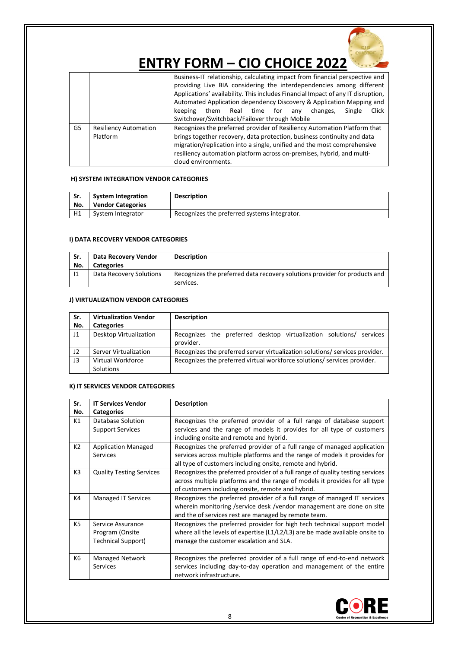

|    |                              | Business-IT relationship, calculating impact from financial perspective and      |
|----|------------------------------|----------------------------------------------------------------------------------|
|    |                              | providing Live BIA considering the interdependencies among different             |
|    |                              | Applications' availability. This includes Financial Impact of any IT disruption, |
|    |                              | Automated Application dependency Discovery & Application Mapping and             |
|    |                              | Click<br>Real time<br>keeping<br>them<br>changes,<br>Single<br>for<br>anv        |
|    |                              | Switchover/Switchback/Failover through Mobile                                    |
| G5 | <b>Resiliency Automation</b> | Recognizes the preferred provider of Resiliency Automation Platform that         |
|    | Platform                     | brings together recovery, data protection, business continuity and data          |
|    |                              | migration/replication into a single, unified and the most comprehensive          |
|    |                              | resiliency automation platform across on-premises, hybrid, and multi-            |
|    |                              | cloud environments.                                                              |

#### **H) SYSTEM INTEGRATION VENDOR CATEGORIES**

| Sr.<br>No. | <b>System Integration</b><br><b>Vendor Categories</b> | <b>Description</b>                           |
|------------|-------------------------------------------------------|----------------------------------------------|
| H1         | System Integrator                                     | Recognizes the preferred systems integrator. |

#### **I) DATA RECOVERY VENDOR CATEGORIES**

| Sr.<br>No. | Data Recovery Vendor<br><b>Categories</b> | <b>Description</b>                                                                      |
|------------|-------------------------------------------|-----------------------------------------------------------------------------------------|
|            | Data Recovery Solutions                   | Recognizes the preferred data recovery solutions provider for products and<br>services. |

#### **J) VIRTUALIZATION VENDOR CATEGORIES**

| Sr.<br>No.     | <b>Virtualization Vendor</b><br><b>Categories</b> | <b>Description</b>                                                                  |
|----------------|---------------------------------------------------|-------------------------------------------------------------------------------------|
| J <sub>1</sub> | Desktop Virtualization                            | Recognizes the preferred desktop virtualization solutions/<br>services<br>provider. |
| J2             | Server Virtualization                             | Recognizes the preferred server virtualization solutions/ services provider.        |
| J3             | Virtual Workforce                                 | Recognizes the preferred virtual workforce solutions/ services provider.            |
|                | Solutions                                         |                                                                                     |

#### **K) IT SERVICES VENDOR CATEGORIES**

| Sr.            | <b>IT Services Vendor</b>       | <b>Description</b>                                                            |
|----------------|---------------------------------|-------------------------------------------------------------------------------|
| No.            | <b>Categories</b>               |                                                                               |
| K1             | Database Solution               | Recognizes the preferred provider of a full range of database support         |
|                | <b>Support Services</b>         | services and the range of models it provides for all type of customers        |
|                |                                 | including onsite and remote and hybrid.                                       |
| K <sub>2</sub> | <b>Application Managed</b>      | Recognizes the preferred provider of a full range of managed application      |
|                | <b>Services</b>                 | services across multiple platforms and the range of models it provides for    |
|                |                                 | all type of customers including onsite, remote and hybrid.                    |
| K3             | <b>Quality Testing Services</b> | Recognizes the preferred provider of a full range of quality testing services |
|                |                                 | across multiple platforms and the range of models it provides for all type    |
|                |                                 | of customers including onsite, remote and hybrid.                             |
| K4             | <b>Managed IT Services</b>      | Recognizes the preferred provider of a full range of managed IT services      |
|                |                                 | wherein monitoring /service desk /vendor management are done on site          |
|                |                                 | and the of services rest are managed by remote team.                          |
| K5             | Service Assurance               | Recognizes the preferred provider for high tech technical support model       |
|                | Program (Onsite                 | where all the levels of expertise (L1/L2/L3) are be made available onsite to  |
|                | <b>Technical Support)</b>       | manage the customer escalation and SLA.                                       |
|                |                                 |                                                                               |
| K6             | <b>Managed Network</b>          | Recognizes the preferred provider of a full range of end-to-end network       |
|                | <b>Services</b>                 | services including day-to-day operation and management of the entire          |
|                |                                 | network infrastructure.                                                       |

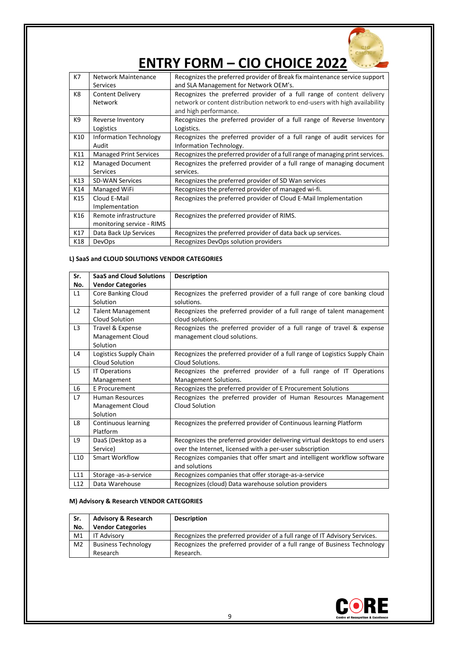

| K7  | Network Maintenance           | Recognizes the preferred provider of Break fix maintenance service support    |
|-----|-------------------------------|-------------------------------------------------------------------------------|
|     | <b>Services</b>               | and SLA Management for Network OEM's.                                         |
| K8  | <b>Content Delivery</b>       | Recognizes the preferred provider of a full range of content delivery         |
|     | <b>Network</b>                | network or content distribution network to end-users with high availability   |
|     |                               | and high performance.                                                         |
| K9  | Reverse Inventory             | Recognizes the preferred provider of a full range of Reverse Inventory        |
|     | Logistics                     | Logistics.                                                                    |
| K10 | <b>Information Technology</b> | Recognizes the preferred provider of a full range of audit services for       |
|     | Audit                         | Information Technology.                                                       |
| K11 | <b>Managed Print Services</b> | Recognizes the preferred provider of a full range of managing print services. |
| K12 | <b>Managed Document</b>       | Recognizes the preferred provider of a full range of managing document        |
|     | <b>Services</b>               | services.                                                                     |
| K13 | <b>SD-WAN Services</b>        | Recognizes the preferred provider of SD Wan services                          |
| K14 | Managed WiFi                  | Recognizes the preferred provider of managed wi-fi.                           |
| K15 | Cloud E-Mail                  | Recognizes the preferred provider of Cloud E-Mail Implementation              |
|     | Implementation                |                                                                               |
| K16 | Remote infrastructure         | Recognizes the preferred provider of RIMS.                                    |
|     | monitoring service - RIMS     |                                                                               |
| K17 | Data Back Up Services         | Recognizes the preferred provider of data back up services.                   |
| K18 | <b>DevOps</b>                 | Recognizes DevOps solution providers                                          |

#### **L) SaaS and CLOUD SOLUTIONS VENDOR CATEGORIES**

| Sr. | <b>SaaS and Cloud Solutions</b> | <b>Description</b>                                                          |
|-----|---------------------------------|-----------------------------------------------------------------------------|
| No. | <b>Vendor Categories</b>        |                                                                             |
| L1  | Core Banking Cloud              | Recognizes the preferred provider of a full range of core banking cloud     |
|     | Solution                        | solutions.                                                                  |
| L2  | <b>Talent Management</b>        | Recognizes the preferred provider of a full range of talent management      |
|     | Cloud Solution                  | cloud solutions.                                                            |
| L3  | Travel & Expense                | Recognizes the preferred provider of a full range of travel & expense       |
|     | <b>Management Cloud</b>         | management cloud solutions.                                                 |
|     | Solution                        |                                                                             |
| L4  | Logistics Supply Chain          | Recognizes the preferred provider of a full range of Logistics Supply Chain |
|     | Cloud Solution                  | Cloud Solutions.                                                            |
| L5  | <b>IT Operations</b>            | Recognizes the preferred provider of a full range of IT Operations          |
|     | Management                      | <b>Management Solutions.</b>                                                |
| L6  | E Procurement                   | Recognizes the preferred provider of E Procurement Solutions                |
| L7  | <b>Human Resources</b>          | Recognizes the preferred provider of Human Resources Management             |
|     | <b>Management Cloud</b>         | Cloud Solution                                                              |
|     | Solution                        |                                                                             |
| L8  | Continuous learning             | Recognizes the preferred provider of Continuous learning Platform           |
|     | Platform                        |                                                                             |
| L9  | DaaS (Desktop as a              | Recognizes the preferred provider delivering virtual desktops to end users  |
|     | Service)                        | over the Internet, licensed with a per-user subscription                    |
| L10 | <b>Smart Workflow</b>           | Recognizes companies that offer smart and intelligent workflow software     |
|     |                                 | and solutions                                                               |
| L11 | Storage -as-a-service           | Recognizes companies that offer storage-as-a-service                        |
| L12 | Data Warehouse                  | Recognizes (cloud) Data warehouse solution providers                        |

#### **M) Advisory & Research VENDOR CATEGORIES**

| Sr.<br>No.     | <b>Advisory &amp; Research</b><br><b>Vendor Categories</b> | <b>Description</b>                                                         |
|----------------|------------------------------------------------------------|----------------------------------------------------------------------------|
| M <sub>1</sub> | <b>IT Advisory</b>                                         | Recognizes the preferred provider of a full range of IT Advisory Services. |
| M <sub>2</sub> | <b>Business Technology</b>                                 | Recognizes the preferred provider of a full range of Business Technology   |
|                | Research                                                   | Research.                                                                  |

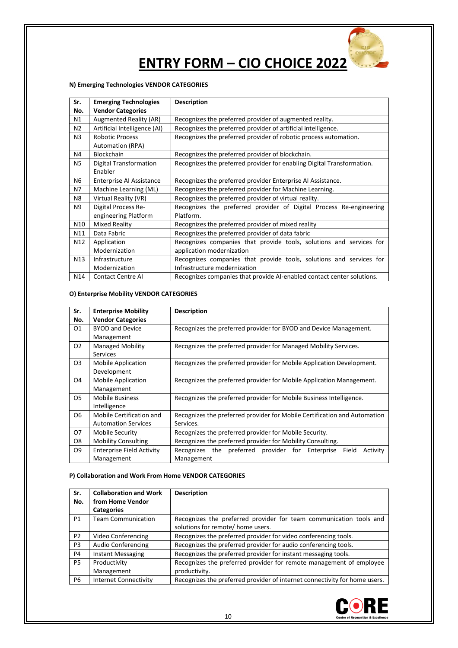

#### **N) Emerging Technologies VENDOR CATEGORIES**

| Sr.             | <b>Emerging Technologies</b>  | <b>Description</b>                                                     |
|-----------------|-------------------------------|------------------------------------------------------------------------|
| No.             | <b>Vendor Categories</b>      |                                                                        |
| N1              | <b>Augmented Reality (AR)</b> | Recognizes the preferred provider of augmented reality.                |
| N <sub>2</sub>  | Artificial Intelligence (AI)  | Recognizes the preferred provider of artificial intelligence.          |
| N <sub>3</sub>  | <b>Robotic Process</b>        | Recognizes the preferred provider of robotic process automation.       |
|                 | Automation (RPA)              |                                                                        |
| N4              | <b>Blockchain</b>             | Recognizes the preferred provider of blockchain.                       |
| N5              | <b>Digital Transformation</b> | Recognizes the preferred provider for enabling Digital Transformation. |
|                 | Enabler                       |                                                                        |
| N <sub>6</sub>  | Enterprise AI Assistance      | Recognizes the preferred provider Enterprise AI Assistance.            |
| N7              | Machine Learning (ML)         | Recognizes the preferred provider for Machine Learning.                |
| N8              | Virtual Reality (VR)          | Recognizes the preferred provider of virtual reality.                  |
| N9              | Digital Process Re-           | Recognizes the preferred provider of Digital Process Re-engineering    |
|                 | engineering Platform          | Platform.                                                              |
| N10             | Mixed Reality                 | Recognizes the preferred provider of mixed reality                     |
| N11             | Data Fabric                   | Recognizes the preferred provider of data fabric                       |
| N12             | Application                   | Recognizes companies that provide tools, solutions and services for    |
|                 | Modernization                 | application modernization                                              |
| N <sub>13</sub> | Infrastructure                | Recognizes companies that provide tools, solutions and services for    |
|                 | Modernization                 | Infrastructure modernization                                           |
| N <sub>14</sub> | <b>Contact Centre AI</b>      | Recognizes companies that provide AI-enabled contact center solutions. |

#### **O) Enterprise Mobility VENDOR CATEGORIES**

| Sr.            | <b>Enterprise Mobility</b>       | <b>Description</b>                                                          |
|----------------|----------------------------------|-----------------------------------------------------------------------------|
| No.            | <b>Vendor Categories</b>         |                                                                             |
|                |                                  |                                                                             |
| 01             | <b>BYOD and Device</b>           | Recognizes the preferred provider for BYOD and Device Management.           |
|                | Management                       |                                                                             |
| 02             | <b>Managed Mobility</b>          | Recognizes the preferred provider for Managed Mobility Services.            |
|                | <b>Services</b>                  |                                                                             |
| O <sub>3</sub> | <b>Mobile Application</b>        | Recognizes the preferred provider for Mobile Application Development.       |
|                | Development                      |                                                                             |
| O <sub>4</sub> | <b>Mobile Application</b>        | Recognizes the preferred provider for Mobile Application Management.        |
|                | Management                       |                                                                             |
| 05             | <b>Mobile Business</b>           | Recognizes the preferred provider for Mobile Business Intelligence.         |
|                | Intelligence                     |                                                                             |
| O6             | Mobile Certification and         | Recognizes the preferred provider for Mobile Certification and Automation   |
|                | <b>Automation Services</b>       | Services.                                                                   |
| 07             | <b>Mobile Security</b>           | Recognizes the preferred provider for Mobile Security.                      |
| O8             | <b>Mobility Consulting</b>       | Recognizes the preferred provider for Mobility Consulting.                  |
| O9             | <b>Enterprise Field Activity</b> | Recognizes the preferred<br>provider for<br>Enterprise<br>Field<br>Activity |
|                | Management                       | Management                                                                  |

#### **P) Collaboration and Work From Home VENDOR CATEGORIES**

| Sr.<br>No.     | <b>Collaboration and Work</b><br>from Home Vendor<br><b>Categories</b> | <b>Description</b>                                                                                      |
|----------------|------------------------------------------------------------------------|---------------------------------------------------------------------------------------------------------|
| P1             | <b>Team Communication</b>                                              | Recognizes the preferred provider for team communication tools and<br>solutions for remote/ home users. |
| P <sub>2</sub> | Video Conferencing                                                     | Recognizes the preferred provider for video conferencing tools.                                         |
| P <sub>3</sub> | <b>Audio Conferencing</b>                                              | Recognizes the preferred provider for audio conferencing tools.                                         |
| P4             | Instant Messaging                                                      | Recognizes the preferred provider for instant messaging tools.                                          |
| <b>P5</b>      | Productivity<br>Management                                             | Recognizes the preferred provider for remote management of employee<br>productivity.                    |
| P6             | <b>Internet Connectivity</b>                                           | Recognizes the preferred provider of internet connectivity for home users.                              |